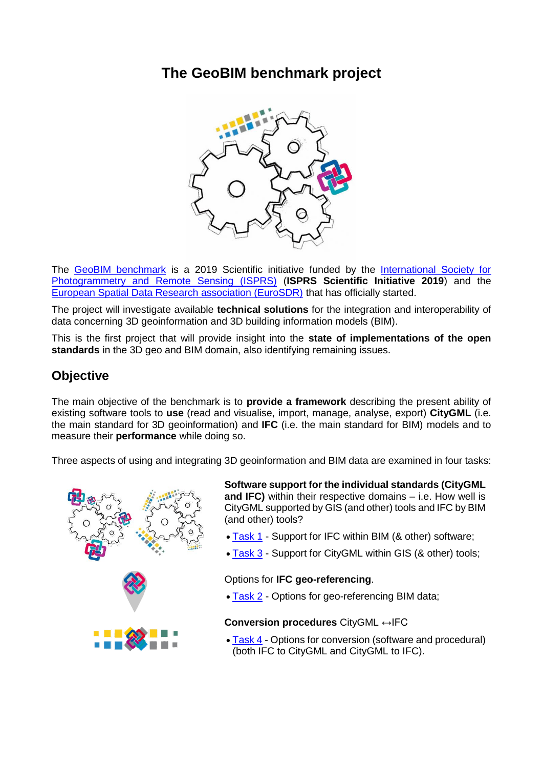## **The GeoBIM benchmark project**



The [GeoBIM benchmark](https://3d.bk.tudelft.nl/projects/geobim-benchmark/) is a 2019 Scientific initiative funded by the International Society for [Photogrammetry and Remote Sensing \(ISPRS\)](http://www.isprs.org/) (**ISPRS Scientific Initiative 2019**) and the [European Spatial Data Research association \(EuroSDR\)](http://www.eurosdr.net/) that has officially started.

The project will investigate available **technical solutions** for the integration and interoperability of data concerning 3D geoinformation and 3D building information models (BIM).

This is the first project that will provide insight into the **state of implementations of the open standards** in the 3D geo and BIM domain, also identifying remaining issues.

### **Objective**

The main objective of the benchmark is to **provide a framework** describing the present ability of existing software tools to **use** (read and visualise, import, manage, analyse, export) **CityGML** (i.e. the main standard for 3D geoinformation) and **IFC** (i.e. the main standard for BIM) models and to measure their **performance** while doing so.

Three aspects of using and integrating 3D geoinformation and BIM data are examined in four tasks:



**Software support for the individual standards (CityGML and IFC)** within their respective domains – i.e. How well is CityGML supported by GIS (and other) tools and IFC by BIM (and other) tools?

- . [Task 1](https://3d.bk.tudelft.nl/projects/geobim-benchmark/task1.html) Support for IFC within BIM (& other) software;
- [Task 3](https://3d.bk.tudelft.nl/projects/geobim-benchmark/task3.html) Support for CityGML within GIS (& other) tools;

#### Options for **IFC geo-referencing**.

• [Task 2](https://3d.bk.tudelft.nl/projects/geobim-benchmark/task2.html) - Options for geo-referencing BIM data:

#### **Conversion procedures** CityGML ↔IFC

• [Task 4](https://3d.bk.tudelft.nl/projects/geobim-benchmark/task4.html) - Options for conversion (software and procedural) (both IFC to CityGML and CityGML to IFC).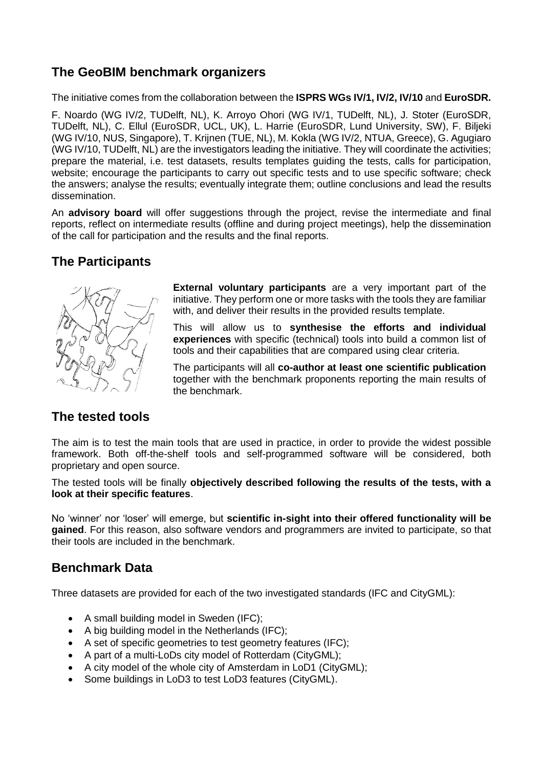## **The GeoBIM benchmark organizers**

The initiative comes from the collaboration between the **ISPRS WGs IV/1, IV/2, IV/10** and **EuroSDR.**

F. Noardo (WG IV/2, TUDelft, NL), K. Arroyo Ohori (WG IV/1, TUDelft, NL), J. Stoter (EuroSDR, TUDelft, NL), C. Ellul (EuroSDR, UCL, UK), L. Harrie (EuroSDR, Lund University, SW), F. Biljeki (WG IV/10, NUS, Singapore), T. Krijnen (TUE, NL), M. Kokla (WG IV/2, NTUA, Greece), G. Agugiaro (WG IV/10, TUDelft, NL) are the investigators leading the initiative. They will coordinate the activities; prepare the material, i.e. test datasets, results templates guiding the tests, calls for participation, website; encourage the participants to carry out specific tests and to use specific software; check the answers; analyse the results; eventually integrate them; outline conclusions and lead the results dissemination.

An **advisory board** will offer suggestions through the project, revise the intermediate and final reports, reflect on intermediate results (offline and during project meetings), help the dissemination of the call for participation and the results and the final reports.

#### **The Participants**



**External voluntary participants** are a very important part of the initiative. They perform one or more tasks with the tools they are familiar with, and deliver their results in the provided results template.

This will allow us to **synthesise the efforts and individual experiences** with specific (technical) tools into build a common list of tools and their capabilities that are compared using clear criteria.

The participants will all **co-author at least one scientific publication** together with the benchmark proponents reporting the main results of the benchmark.

#### **The tested tools**

The aim is to test the main tools that are used in practice, in order to provide the widest possible framework. Both off-the-shelf tools and self-programmed software will be considered, both proprietary and open source.

The tested tools will be finally **objectively described following the results of the tests, with a look at their specific features**.

No 'winner' nor 'loser' will emerge, but **scientific in-sight into their offered functionality will be gained**. For this reason, also software vendors and programmers are invited to participate, so that their tools are included in the benchmark.

#### **Benchmark Data**

Three datasets are provided for each of the two investigated standards (IFC and CityGML):

- A small building model in Sweden (IFC);
- A big building model in the Netherlands (IFC);
- A set of specific geometries to test geometry features (IFC);
- A part of a multi-LoDs city model of Rotterdam (CityGML);
- A city model of the whole city of Amsterdam in LoD1 (CityGML);
- Some buildings in LoD3 to test LoD3 features (CityGML).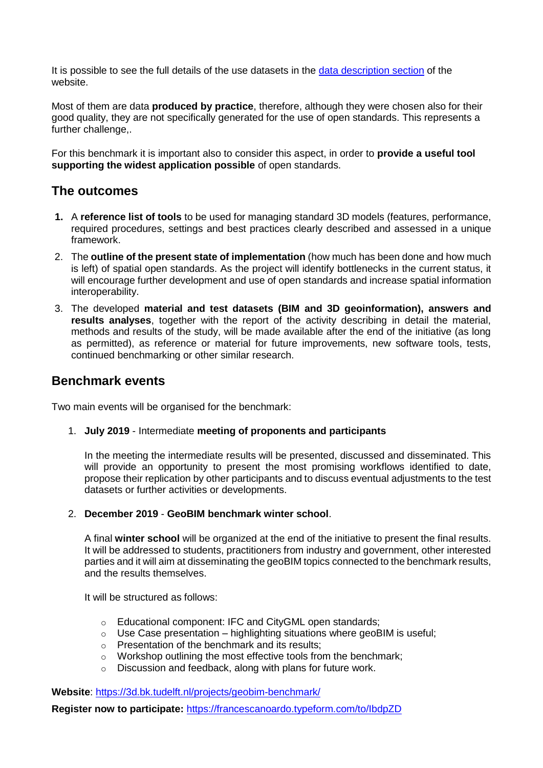It is possible to see the full details of the use datasets in the [data description section](https://3d.bk.tudelft.nl/projects/geobim-benchmark/data.html) of the website.

Most of them are data **produced by practice**, therefore, although they were chosen also for their good quality, they are not specifically generated for the use of open standards. This represents a further challenge,.

For this benchmark it is important also to consider this aspect, in order to **provide a useful tool supporting the widest application possible** of open standards.

#### **The outcomes**

- **1.** A **reference list of tools** to be used for managing standard 3D models (features, performance, required procedures, settings and best practices clearly described and assessed in a unique framework.
- 2. The **outline of the present state of implementation** (how much has been done and how much is left) of spatial open standards. As the project will identify bottlenecks in the current status, it will encourage further development and use of open standards and increase spatial information interoperability.
- 3. The developed **material and test datasets (BIM and 3D geoinformation), answers and results analyses**, together with the report of the activity describing in detail the material, methods and results of the study, will be made available after the end of the initiative (as long as permitted), as reference or material for future improvements, new software tools, tests, continued benchmarking or other similar research.

#### **Benchmark events**

Two main events will be organised for the benchmark:

1. **July 2019** - Intermediate **meeting of proponents and participants**

In the meeting the intermediate results will be presented, discussed and disseminated. This will provide an opportunity to present the most promising workflows identified to date, propose their replication by other participants and to discuss eventual adjustments to the test datasets or further activities or developments.

2. **December 2019** - **GeoBIM benchmark winter school**.

A final **winter school** will be organized at the end of the initiative to present the final results. It will be addressed to students, practitioners from industry and government, other interested parties and it will aim at disseminating the geoBIM topics connected to the benchmark results, and the results themselves.

It will be structured as follows:

- o Educational component: IFC and CityGML open standards;
- $\circ$  Use Case presentation highlighting situations where geoBIM is useful;
- o Presentation of the benchmark and its results;
- o Workshop outlining the most effective tools from the benchmark;
- o Discussion and feedback, along with plans for future work.

**Website**:<https://3d.bk.tudelft.nl/projects/geobim-benchmark/>

**Register now to participate:** <https://francescanoardo.typeform.com/to/IbdpZD>